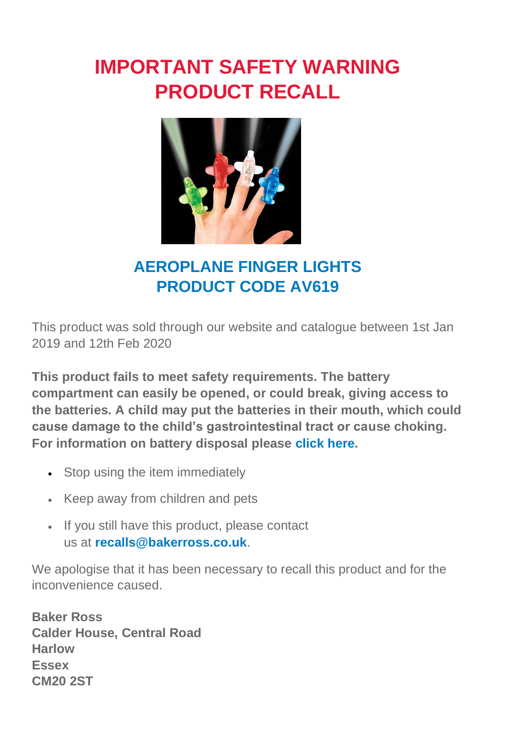## **IMPORTANT SAFETY WARNING PRODUCT RECALL**



## **AEROPLANE FINGER LIGHTS PRODUCT CODE AV619**

This product was sold through our website and catalogue between 1st Jan 2019 and 12th Feb 2020

**This product fails to meet safety requirements. The battery compartment can easily be opened, or could break, giving access to the batteries. A child may put the batteries in their mouth, which could cause damage to the child's gastrointestinal tract or cause choking. For information on battery disposal please [click here.](https://www.bakerross.co.uk/battery-disposal)**

- Stop using the item immediately
- Keep away from children and pets
- If you still have this product, please contact us at **[recalls@bakerross.co.uk](mailto:recalls@bakerross.co.uk)**.

We apologise that it has been necessary to recall this product and for the inconvenience caused.

**Baker Ross Calder House, Central Road Harlow Essex CM20 2ST**